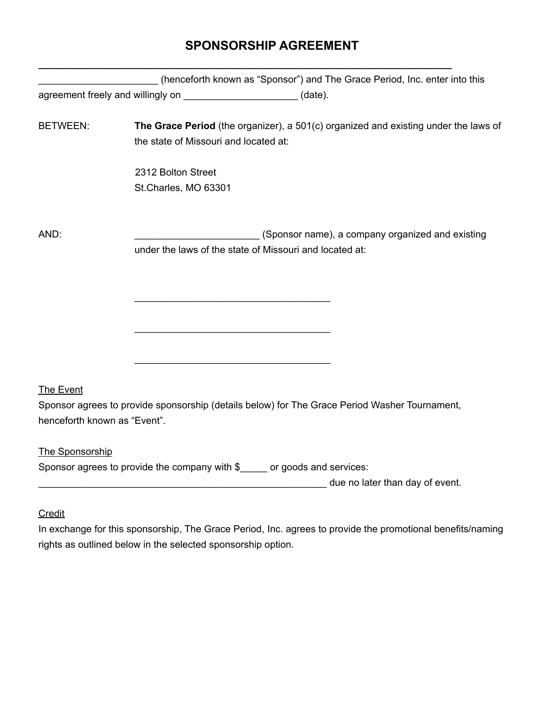## **SPONSORSHIP AGREEMENT**

**\_\_\_\_\_\_\_\_\_\_\_\_\_\_\_\_\_\_\_\_\_\_\_\_\_\_\_\_\_\_\_\_\_\_\_\_\_\_\_\_\_\_\_\_\_\_\_\_\_\_\_\_\_\_\_\_\_\_\_\_\_\_\_\_\_\_\_\_\_\_\_\_\_\_\_\_**

|                                   |                                                                          | (henceforth known as "Sponsor") and The Grace Period, Inc. enter into this                                  |
|-----------------------------------|--------------------------------------------------------------------------|-------------------------------------------------------------------------------------------------------------|
| agreement freely and willingly on |                                                                          | $(data)$ .                                                                                                  |
| <b>BETWEEN:</b>                   | the state of Missouri and located at:                                    | The Grace Period (the organizer), a 501(c) organized and existing under the laws of                         |
|                                   | 2312 Bolton Street<br>St.Charles, MO 63301                               |                                                                                                             |
| AND:                              |                                                                          | (Sponsor name), a company organized and existing<br>under the laws of the state of Missouri and located at: |
|                                   |                                                                          |                                                                                                             |
|                                   |                                                                          |                                                                                                             |
| <b>The Event</b>                  |                                                                          |                                                                                                             |
| henceforth known as "Event".      |                                                                          | Sponsor agrees to provide sponsorship (details below) for The Grace Period Washer Tournament,               |
| The Sponsorship                   |                                                                          |                                                                                                             |
|                                   | Sponsor agrees to provide the company with \$____ or goods and services: |                                                                                                             |
|                                   |                                                                          | due no later than day of event.                                                                             |
|                                   |                                                                          |                                                                                                             |

## **Credit**

In exchange for this sponsorship, The Grace Period, Inc. agrees to provide the promotional benefits/naming rights as outlined below in the selected sponsorship option.